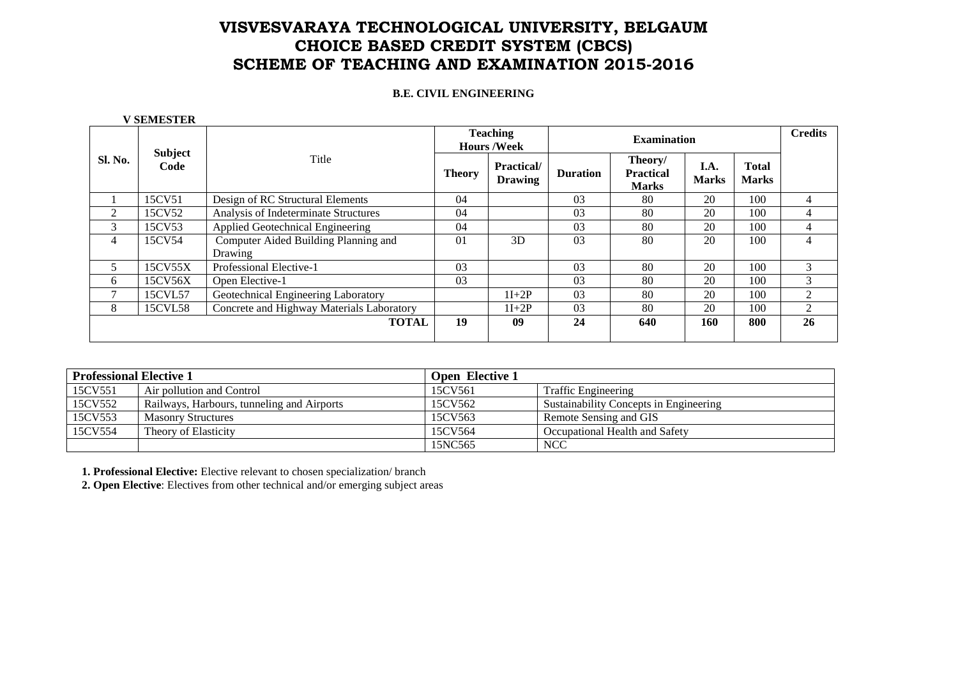### **B.E. CIVIL ENGINEERING**

 **V SEMESTER** 

|                | <b>Subject</b> |                                                 |               | <b>Teaching</b><br><b>Hours /Week</b> |                 | <b>Examination</b>                          |                      |                              |                |  |
|----------------|----------------|-------------------------------------------------|---------------|---------------------------------------|-----------------|---------------------------------------------|----------------------|------------------------------|----------------|--|
| <b>Sl. No.</b> | Code           | Title                                           | <b>Theory</b> | <b>Practical</b> /<br><b>Drawing</b>  | <b>Duration</b> | Theory/<br><b>Practical</b><br><b>Marks</b> | I.A.<br><b>Marks</b> | <b>Total</b><br><b>Marks</b> |                |  |
|                | 15CV51         | Design of RC Structural Elements                | 04            |                                       | 03              | 80                                          | 20                   | 100                          | 4              |  |
| 2              | 15CV52         | Analysis of Indeterminate Structures            | 04            |                                       | 03              | 80                                          | 20                   | 100                          | 4              |  |
| 3              | 15CV53         | Applied Geotechnical Engineering                | 04            |                                       | 03              | 80                                          | 20                   | 100                          | 4              |  |
| 4              | 15CV54         | Computer Aided Building Planning and<br>Drawing | 01            | 3D                                    | 03              | 80                                          | 20                   | 100                          | 4              |  |
|                | 15CV55X        | Professional Elective-1                         | 03            |                                       | 03              | 80                                          | 20                   | 100                          | $\mathcal{R}$  |  |
| 6              | 15CV56X        | Open Elective-1                                 | 03            |                                       | 03              | 80                                          | 20                   | 100                          | 3              |  |
|                | 15CVL57        | Geotechnical Engineering Laboratory             |               | $1I+2P$                               | 03              | 80                                          | 20                   | 100                          | $\mathfrak{D}$ |  |
| 8              | 15CVL58        | Concrete and Highway Materials Laboratory       |               | $1I+2P$                               | 03              | 80                                          | 20                   | 100                          | 2              |  |
|                |                | <b>TOTAL</b>                                    | 19            | 09                                    | 24              | 640                                         | 160                  | 800                          | 26             |  |

| <b>Professional Elective 1</b> |                                            | <b>Open Elective 1</b> |                                        |
|--------------------------------|--------------------------------------------|------------------------|----------------------------------------|
| 15CV551                        | Air pollution and Control                  | 15CV561                | <b>Traffic Engineering</b>             |
| 15CV552                        | Railways, Harbours, tunneling and Airports | 15CV562                | Sustainability Concepts in Engineering |
| 15CV553                        | <b>Masonry Structures</b>                  | 15CV563                | Remote Sensing and GIS                 |
| 15CV554                        | Theory of Elasticity                       | 15CV564                | Occupational Health and Safety         |
|                                |                                            | 15NC565                | <b>NCC</b>                             |

**1. Professional Elective:** Elective relevant to chosen specialization/ branch

**2. Open Elective**: Electives from other technical and/or emerging subject areas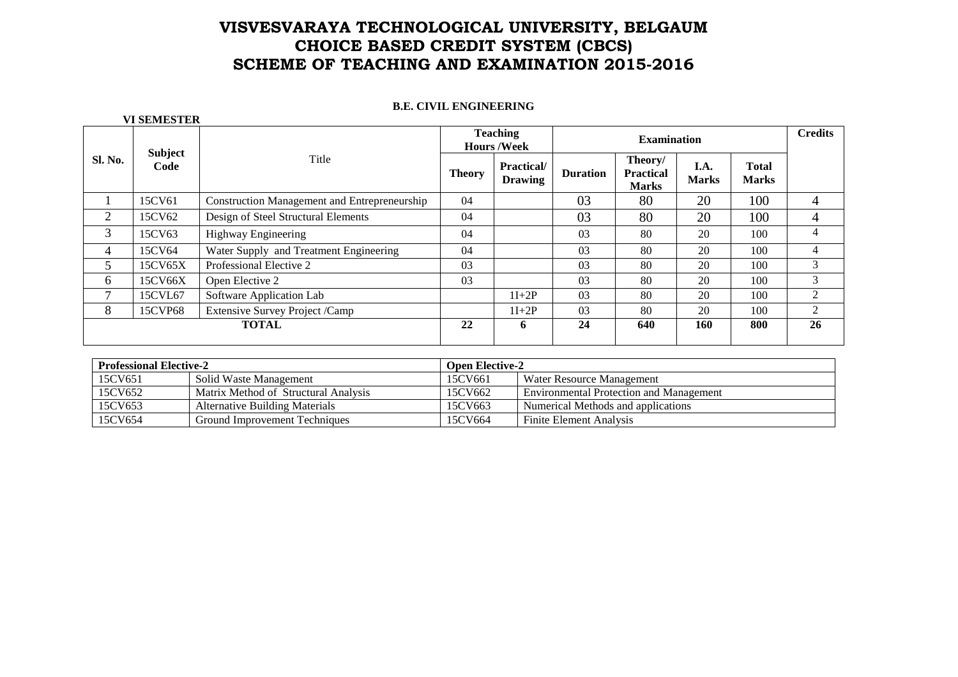## **B.E. CIVIL ENGINEERING**

|                | <b>Subject</b> |                                                     |               | <b>Teaching</b><br><b>Hours /Week</b> |                 | <b>Credits</b>                              |                      |                              |   |
|----------------|----------------|-----------------------------------------------------|---------------|---------------------------------------|-----------------|---------------------------------------------|----------------------|------------------------------|---|
| <b>Sl. No.</b> | Code           | Title                                               | <b>Theory</b> | <b>Practical</b> /<br><b>Drawing</b>  | <b>Duration</b> | Theory/<br><b>Practical</b><br><b>Marks</b> | I.A.<br><b>Marks</b> | <b>Total</b><br><b>Marks</b> |   |
|                | 15CV61         | <b>Construction Management and Entrepreneurship</b> | 04            |                                       | 03              | 80                                          | 20                   | 100                          | 4 |
| 2              | 15CV62         | Design of Steel Structural Elements                 | 04            |                                       | 03              | 80                                          | 20                   | 100                          | 4 |
| 3              | 15CV63         | Highway Engineering                                 | 04            |                                       | 03              | 80                                          | 20                   | 100                          | 4 |
| 4              | 15CV64         | Water Supply and Treatment Engineering              | 04            |                                       | 03              | 80                                          | 20                   | 100                          | 4 |
| 5              | 15CV65X        | Professional Elective 2                             | 03            |                                       | 03              | 80                                          | 20                   | 100                          | 3 |
| 6              | 15CV66X        | Open Elective 2                                     | 03            |                                       | 03              | 80                                          | 20                   | 100                          | 3 |
| 7              | 15CVL67        | Software Application Lab                            |               | $1I+2P$                               | 03              | 80                                          | 20                   | 100                          |   |
| 8              | 15CVP68        | Extensive Survey Project /Camp                      |               | $1I+2P$                               | 03              | 80                                          | 20                   | 100                          | 2 |
| <b>TOTAL</b>   |                | 22                                                  | 6             | 24                                    | 640             | 160                                         | 800                  | 26                           |   |

| <b>Professional Elective-2</b> |                                      | <b>Open Elective-2</b> |                                         |  |  |  |
|--------------------------------|--------------------------------------|------------------------|-----------------------------------------|--|--|--|
| 15CV651                        | Solid Waste Management               | 15CV661                | Water Resource Management               |  |  |  |
| 15CV652                        | Matrix Method of Structural Analysis | 15CV662                | Environmental Protection and Management |  |  |  |
| 15CV653                        | Alternative Building Materials       | 15CV663                | Numerical Methods and applications      |  |  |  |
| 15CV654                        | Ground Improvement Techniques        | 15CV664                | <b>Finite Element Analysis</b>          |  |  |  |

## **VI SEMESTER**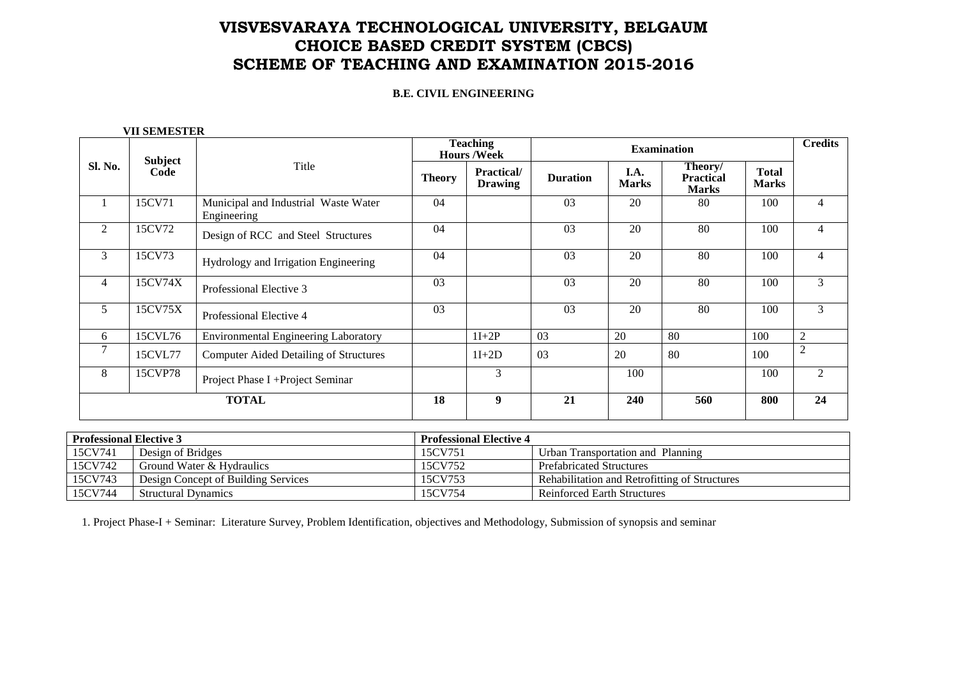### **B.E. CIVIL ENGINEERING**

|                |                 |                                                     |               | <b>Teaching</b><br><b>Hours /Week</b> |                 | <b>Examination</b>   |                                             |                              |                |  |
|----------------|-----------------|-----------------------------------------------------|---------------|---------------------------------------|-----------------|----------------------|---------------------------------------------|------------------------------|----------------|--|
| Sl. No.        | Subject<br>Code | Title                                               | <b>Theory</b> | <b>Practical/</b><br><b>Drawing</b>   | <b>Duration</b> | I.A.<br><b>Marks</b> | Theory/<br><b>Practical</b><br><b>Marks</b> | <b>Total</b><br><b>Marks</b> |                |  |
|                | 15CV71          | Municipal and Industrial Waste Water<br>Engineering | 04            |                                       | 03              | 20                   | 80                                          | 100                          | $\overline{4}$ |  |
| 2              | 15CV72          | Design of RCC and Steel Structures                  | 04            |                                       | 03              | 20                   | 80                                          | 100                          | $\overline{4}$ |  |
| 3              | 15CV73          | Hydrology and Irrigation Engineering                | 04            |                                       | 03              | 20                   | 80                                          | 100                          | $\overline{4}$ |  |
| $\overline{4}$ | 15CV74X         | Professional Elective 3                             | 03            |                                       | 03              | 20                   | 80                                          | 100                          | $\mathfrak{Z}$ |  |
| 5              | 15CV75X         | Professional Elective 4                             | 03            |                                       | 03              | 20                   | 80                                          | 100                          | $\mathfrak{Z}$ |  |
| 6              | 15CVL76         | Environmental Engineering Laboratory                |               | $1I+2P$                               | 03              | 20                   | 80                                          | 100                          | $\overline{2}$ |  |
| $\overline{7}$ | 15CVL77         | <b>Computer Aided Detailing of Structures</b>       |               | $1I+2D$                               | 03              | 20                   | 80                                          | 100                          | $\overline{2}$ |  |
| 8              | 15CVP78         | Project Phase I + Project Seminar                   |               | 3                                     |                 | 100                  |                                             | 100                          | 2              |  |
|                |                 | <b>TOTAL</b>                                        | 18            | 9                                     | 21              | 240                  | 560                                         | 800                          | 24             |  |

| <b>Professional Elective 3</b> |                                     | <b>Professional Elective 4</b> |                                               |
|--------------------------------|-------------------------------------|--------------------------------|-----------------------------------------------|
| 15CV741                        | Design of Bridges                   | 15CV751                        | Urban Transportation and Planning             |
| 15CV742                        | Ground Water & Hydraulics           | 15CV752                        | <b>Prefabricated Structures</b>               |
| 15CV743                        | Design Concept of Building Services | 15CV753                        | Rehabilitation and Retrofitting of Structures |
| 15CV744                        | <b>Structural Dynamics</b>          | 15CV754                        | <b>Reinforced Earth Structures</b>            |

1. Project Phase-I + Seminar: Literature Survey, Problem Identification, objectives and Methodology, Submission of synopsis and seminar